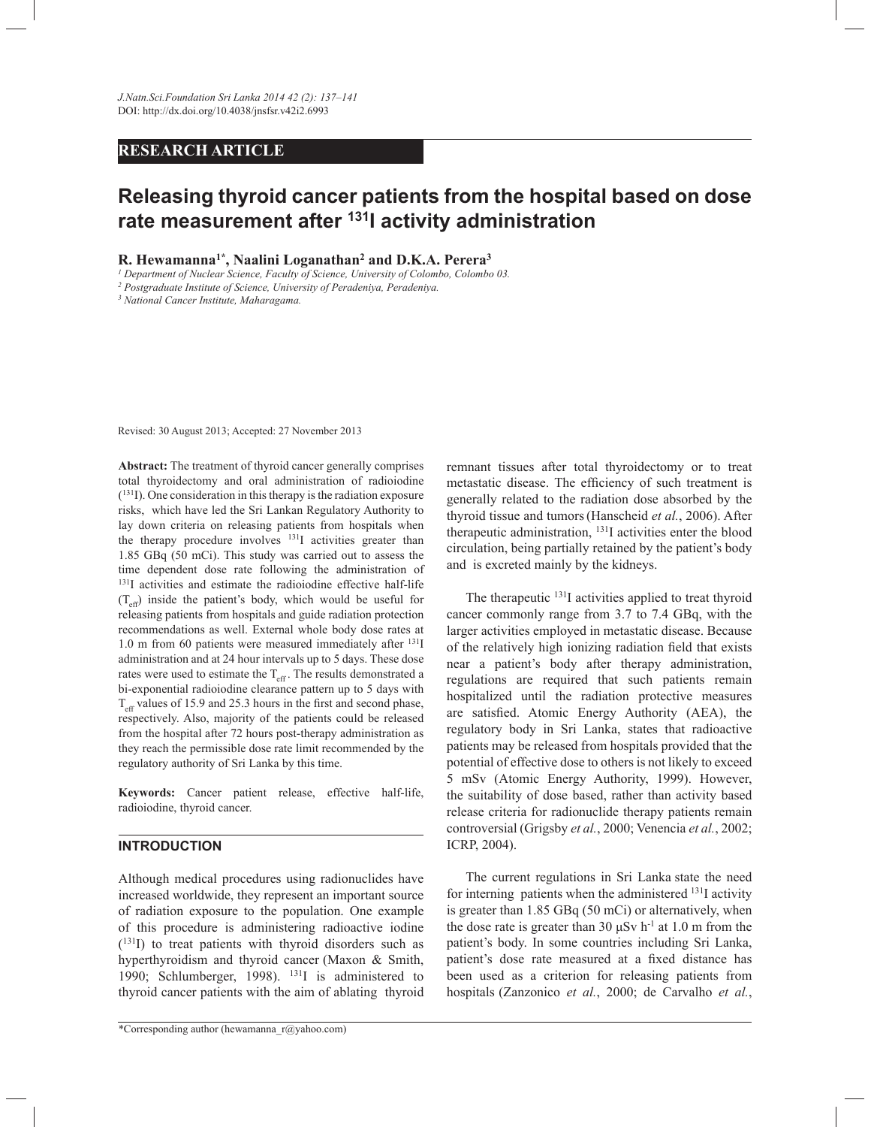# **RESEARCH ARTICLE**

# **Releasing thyroid cancer patients from the hospital based on dose rate measurement after <sup>131</sup>I activity administration**

# **R. Hewamanna1\*, Naalini Loganathan<sup>2</sup> and D.K.A. Perera<sup>3</sup>**

*1 Department of Nuclear Science, Faculty of Science, University of Colombo, Colombo 03.*

*2 Postgraduate Institute of Science, University of Peradeniya, Peradeniya.*

*3 National Cancer Institute, Maharagama.*

Revised: 30 August 2013; Accepted: 27 November 2013

**Abstract:** The treatment of thyroid cancer generally comprises total thyroidectomy and oral administration of radioiodine ( <sup>131</sup>I). One consideration in this therapy is the radiation exposure risks, which have led the Sri Lankan Regulatory Authority to lay down criteria on releasing patients from hospitals when the therapy procedure involves <sup>131</sup>I activities greater than 1.85 GBq (50 mCi). This study was carried out to assess the time dependent dose rate following the administration of <sup>131</sup>I activities and estimate the radioiodine effective half-life  $(T<sub>eff</sub>)$  inside the patient's body, which would be useful for releasing patients from hospitals and guide radiation protection recommendations as well. External whole body dose rates at 1.0 m from 60 patients were measured immediately after <sup>131</sup>I administration and at 24 hour intervals up to 5 days. These dose rates were used to estimate the  $T_{\text{eff}}$ . The results demonstrated a bi-exponential radioiodine clearance pattern up to 5 days with T<sub>eff</sub> values of 15.9 and 25.3 hours in the first and second phase, respectively. Also, majority of the patients could be released from the hospital after 72 hours post-therapy administration as they reach the permissible dose rate limit recommended by the regulatory authority of Sri Lanka by this time.

**Keywords:** Cancer patient release, effective half-life, radioiodine, thyroid cancer.

## **INTRODUCTION**

Although medical procedures using radionuclides have increased worldwide, they represent an important source of radiation exposure to the population. One example of this procedure is administering radioactive iodine ( <sup>131</sup>I) to treat patients with thyroid disorders such as hyperthyroidism and thyroid cancer (Maxon & Smith, 1990; Schlumberger, 1998).  $^{131}I$  is administered to thyroid cancer patients with the aim of ablating thyroid

remnant tissues after total thyroidectomy or to treat metastatic disease. The efficiency of such treatment is generally related to the radiation dose absorbed by the thyroid tissue and tumors(Hanscheid *et al.*, 2006). After therapeutic administration, <sup>131</sup>I activities enter the blood circulation, being partially retained by the patient's body and is excreted mainly by the kidneys.

The therapeutic <sup>131</sup>I activities applied to treat thyroid cancer commonly range from 3.7 to 7.4 GBq, with the larger activities employed in metastatic disease. Because of the relatively high ionizing radiation field that exists near a patient's body after therapy administration, regulations are required that such patients remain hospitalized until the radiation protective measures are satisfied. Atomic Energy Authority (AEA), the regulatory body in Sri Lanka, states that radioactive patients may be released from hospitals provided that the potential of effective dose to others is not likely to exceed 5 mSv (Atomic Energy Authority, 1999). However, the suitability of dose based, rather than activity based release criteria for radionuclide therapy patients remain controversial (Grigsby *et al.*, 2000; Venencia *et al.*, 2002; ICRP, 2004).

 The current regulations in Sri Lanka state the need for interning patients when the administered <sup>131</sup>I activity is greater than 1.85 GBq (50 mCi) or alternatively, when the dose rate is greater than 30  $\mu$ Sv h<sup>-1</sup> at 1.0 m from the patient's body. In some countries including Sri Lanka, patient's dose rate measured at a fixed distance has been used as a criterion for releasing patients from hospitals (Zanzonico *et al.*, 2000; de Carvalho *et al.*,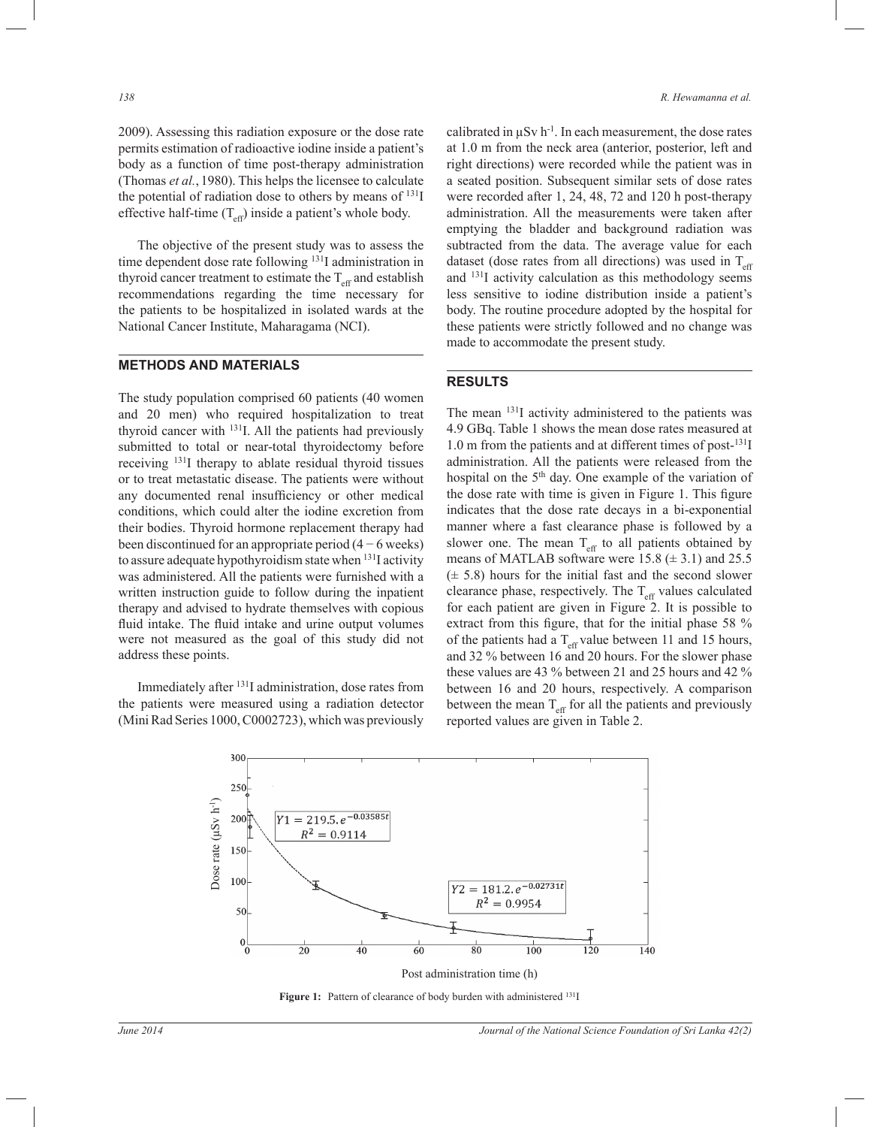2009). Assessing this radiation exposure or the dose rate permits estimation of radioactive iodine inside a patient's body as a function of time post-therapy administration (Thomas *et al.*, 1980). This helps the licensee to calculate the potential of radiation dose to others by means of <sup>131</sup>I effective half-time  $(T_{\text{eff}})$  inside a patient's whole body.

 The objective of the present study was to assess the time dependent dose rate following <sup>131</sup>I administration in thyroid cancer treatment to estimate the  $T_{\text{eff}}$  and establish recommendations regarding the time necessary for the patients to be hospitalized in isolated wards at the National Cancer Institute, Maharagama (NCI).

#### **METHODS AND MATERIALS**

The study population comprised 60 patients (40 women and 20 men) who required hospitalization to treat thyroid cancer with <sup>131</sup>I. All the patients had previously submitted to total or near-total thyroidectomy before receiving <sup>131</sup>I therapy to ablate residual thyroid tissues or to treat metastatic disease. The patients were without any documented renal insufficiency or other medical conditions, which could alter the iodine excretion from their bodies. Thyroid hormone replacement therapy had been discontinued for an appropriate period (4 − 6 weeks) to assure adequate hypothyroidism state when <sup>131</sup>I activity was administered. All the patients were furnished with a written instruction guide to follow during the inpatient therapy and advised to hydrate themselves with copious fluid intake. The fluid intake and urine output volumes were not measured as the goal of this study did not address these points.

 Immediately after <sup>131</sup>I administration, dose rates from the patients were measured using a radiation detector (Mini Rad Series 1000, C0002723), which was previously calibrated in  $\mu Sv$  h<sup>-1</sup>. In each measurement, the dose rates at 1.0 m from the neck area (anterior, posterior, left and right directions) were recorded while the patient was in a seated position. Subsequent similar sets of dose rates were recorded after 1, 24, 48, 72 and 120 h post-therapy administration. All the measurements were taken after emptying the bladder and background radiation was subtracted from the data. The average value for each dataset (dose rates from all directions) was used in  $T_{\text{eff}}$ and  $^{131}$ I activity calculation as this methodology seems less sensitive to iodine distribution inside a patient's body. The routine procedure adopted by the hospital for these patients were strictly followed and no change was made to accommodate the present study.

## **RESULTS**

The mean <sup>131</sup>I activity administered to the patients was 4.9 GBq. Table 1 shows the mean dose rates measured at 1.0 m from the patients and at different times of post-<sup>131</sup>I administration. All the patients were released from the hospital on the 5<sup>th</sup> day. One example of the variation of the dose rate with time is given in Figure 1. This figure indicates that the dose rate decays in a bi-exponential manner where a fast clearance phase is followed by a slower one. The mean  $T_{\text{eff}}$  to all patients obtained by means of MATLAB software were 15.8  $(\pm 3.1)$  and 25.5  $(\pm 5.8)$  hours for the initial fast and the second slower clearance phase, respectively. The  $T_{\text{eff}}$  values calculated for each patient are given in Figure 2. It is possible to extract from this figure, that for the initial phase 58 % of the patients had a  $T_{\text{eff}}$  value between 11 and 15 hours, and 32 % between 16 and 20 hours. For the slower phase these values are 43 % between 21 and 25 hours and 42 % between 16 and 20 hours, respectively. A comparison between the mean  $T_{\text{eff}}$  for all the patients and previously reported values are given in Table 2.



Figure 1: Pattern of clearance of body burden with administered <sup>131</sup>I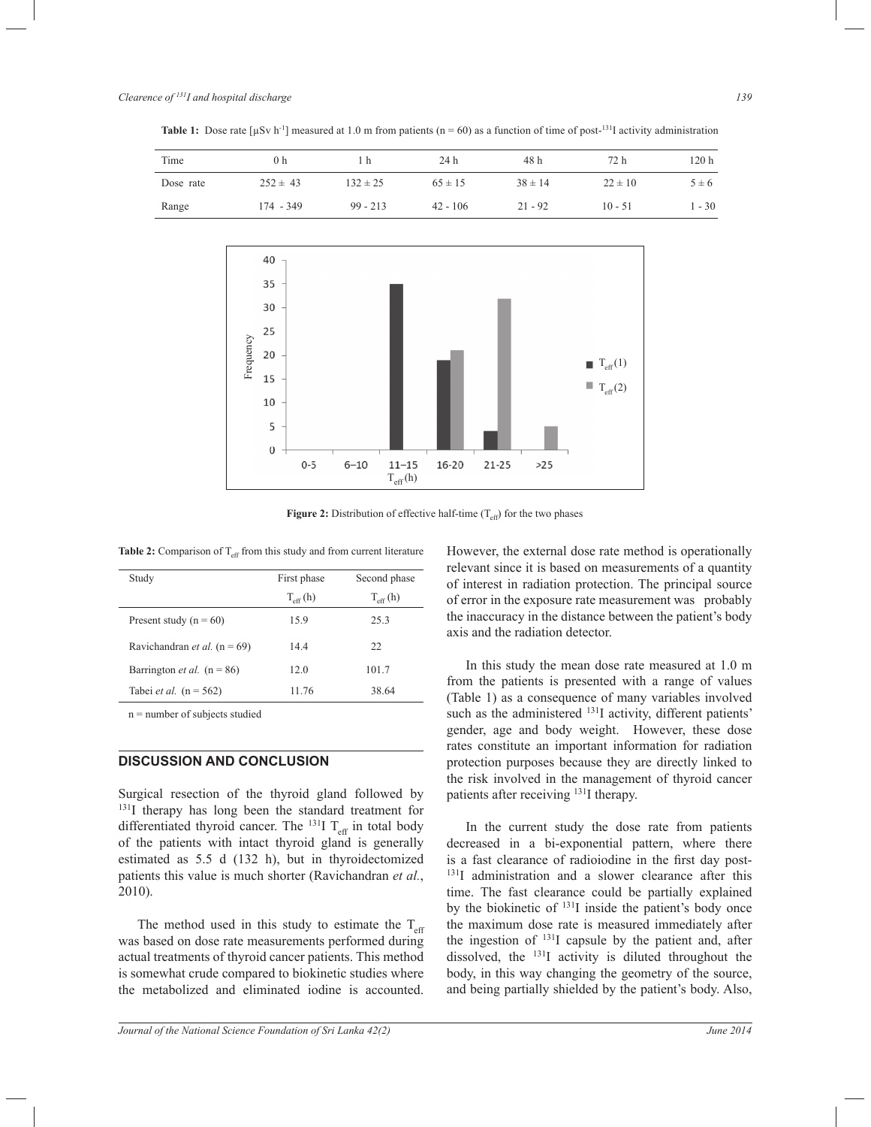**Table 1:** Dose rate  $[\mu Sv \, h^{-1}]$  measured at 1.0 m from patients (n = 60) as a function of time of post-<sup>131</sup>I activity administration



**Figure 2:** Distribution of effective half-time  $(T_{\text{eff}})$  for the two phases

**Table 2:** Comparison of  $T_{\text{eff}}$  from this study and from current literature

| Study                                   | First phase          | Second phase         |
|-----------------------------------------|----------------------|----------------------|
|                                         | $T_{\text{eff}}$ (h) | $T_{\text{eff}}$ (h) |
| Present study ( $n = 60$ )              | 15.9                 | 25.3                 |
| Ravichandran <i>et al.</i> ( $n = 69$ ) | 14.4                 | 22                   |
| Barrington <i>et al.</i> ( $n = 86$ )   | 12.0                 | 101.7                |
| Tabei <i>et al.</i> $(n = 562)$         | 11.76                | 38.64                |

n = number of subjects studied

## **DISCUSSION AND CONCLUSION**

Surgical resection of the thyroid gland followed by <sup>131</sup>I therapy has long been the standard treatment for differentiated thyroid cancer. The  $^{131}I$  T<sub>eff</sub> in total body of the patients with intact thyroid gland is generally estimated as 5.5 d (132 h), but in thyroidectomized patients this value is much shorter (Ravichandran *et al.*, 2010).

The method used in this study to estimate the  $T_{\text{eff}}$ was based on dose rate measurements performed during actual treatments of thyroid cancer patients. This method is somewhat crude compared to biokinetic studies where the metabolized and eliminated iodine is accounted.

However, the external dose rate method is operationally relevant since it is based on measurements of a quantity of interest in radiation protection. The principal source of error in the exposure rate measurement was probably the inaccuracy in the distance between the patient's body axis and the radiation detector.

 In this study the mean dose rate measured at 1.0 m from the patients is presented with a range of values (Table 1) as a consequence of many variables involved such as the administered <sup>131</sup>I activity, different patients' gender, age and body weight. However, these dose rates constitute an important information for radiation protection purposes because they are directly linked to the risk involved in the management of thyroid cancer patients after receiving <sup>131</sup>I therapy.

 In the current study the dose rate from patients decreased in a bi-exponential pattern, where there is a fast clearance of radioiodine in the first day post-<sup>131</sup>I administration and a slower clearance after this time. The fast clearance could be partially explained by the biokinetic of <sup>131</sup>I inside the patient's body once the maximum dose rate is measured immediately after the ingestion of <sup>131</sup>I capsule by the patient and, after dissolved, the  $^{131}I$  activity is diluted throughout the body, in this way changing the geometry of the source, and being partially shielded by the patient's body. Also,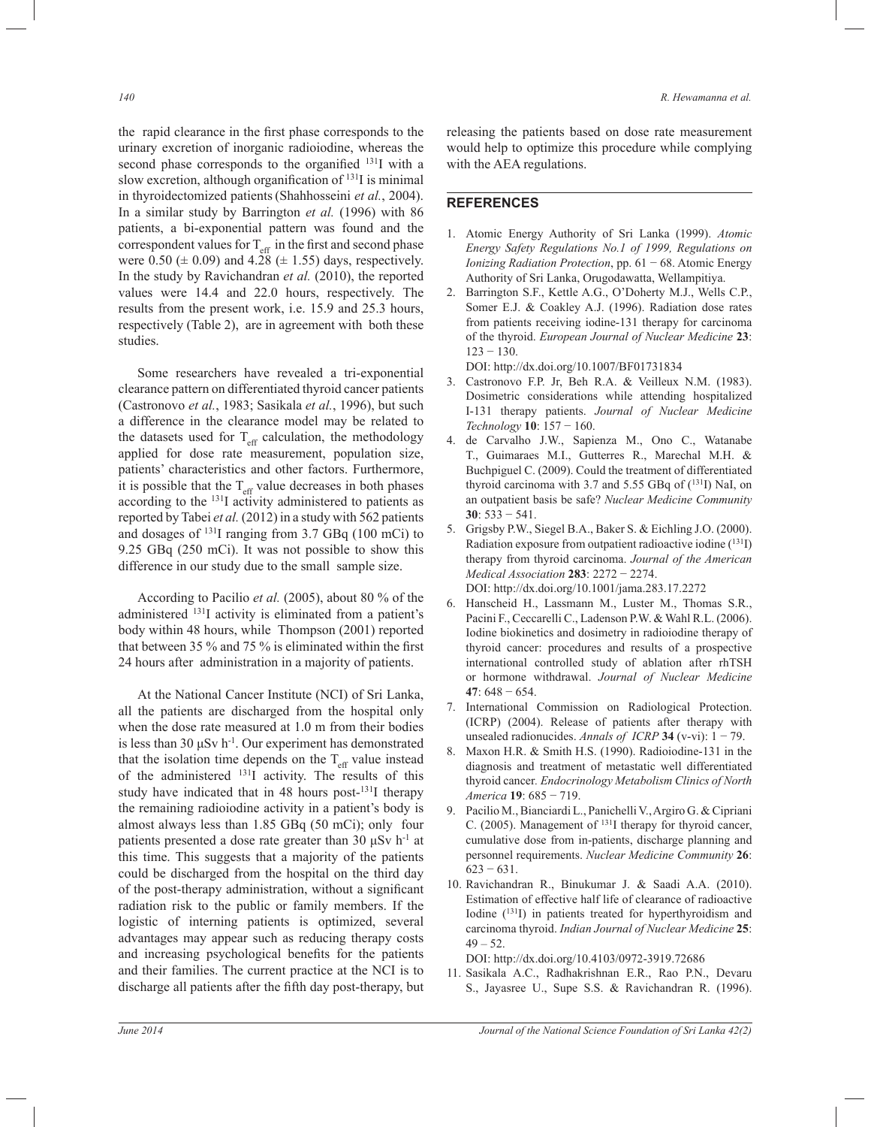the rapid clearance in the first phase corresponds to the urinary excretion of inorganic radioiodine, whereas the second phase corresponds to the organified <sup>131</sup>I with a slow excretion, although organification of  $131I$  is minimal in thyroidectomized patients(Shahhosseini *et al.*, 2004). In a similar study by Barrington *et al.* (1996) with 86 patients, a bi-exponential pattern was found and the correspondent values for  $T_{\text{eff}}$  in the first and second phase were 0.50 ( $\pm$  0.09) and 4.28 ( $\pm$  1.55) days, respectively. In the study by Ravichandran *et al.* (2010), the reported values were 14.4 and 22.0 hours, respectively. The results from the present work, i.e. 15.9 and 25.3 hours, respectively (Table 2), are in agreement with both these studies.

 Some researchers have revealed a tri-exponential clearance pattern on differentiated thyroid cancer patients (Castronovo *et al.*, 1983; Sasikala *et al.*, 1996), but such a difference in the clearance model may be related to the datasets used for  $T_{\text{eff}}$  calculation, the methodology applied for dose rate measurement, population size, patients' characteristics and other factors. Furthermore, it is possible that the  $T_{\text{eff}}$  value decreases in both phases according to the <sup>131</sup>I activity administered to patients as reported by Tabei *et al.* (2012) in a study with 562 patients and dosages of  $^{131}$ I ranging from 3.7 GBq (100 mCi) to 9.25 GBq (250 mCi). It was not possible to show this difference in our study due to the small sample size.

 According to Pacilio *et al.* (2005), about 80 % of the administered <sup>131</sup>I activity is eliminated from a patient's body within 48 hours, while Thompson (2001) reported that between 35 % and 75 % is eliminated within the first 24 hours after administration in a majority of patients.

 At the National Cancer Institute (NCI) of Sri Lanka, all the patients are discharged from the hospital only when the dose rate measured at 1.0 m from their bodies is less than 30  $\mu$ Sv h<sup>-1</sup>. Our experiment has demonstrated that the isolation time depends on the  $T_{\text{eff}}$  value instead of the administered  $^{131}$ I activity. The results of this study have indicated that in 48 hours post- $131$  therapy the remaining radioiodine activity in a patient's body is almost always less than 1.85 GBq (50 mCi); only four patients presented a dose rate greater than 30  $\mu Sv$  h<sup>-1</sup> at this time. This suggests that a majority of the patients could be discharged from the hospital on the third day of the post-therapy administration, without a significant radiation risk to the public or family members. If the logistic of interning patients is optimized, several advantages may appear such as reducing therapy costs and increasing psychological benefits for the patients and their families. The current practice at the NCI is to discharge all patients after the fifth day post-therapy, but

releasing the patients based on dose rate measurement would help to optimize this procedure while complying with the AEA regulations.

#### **REFERENCES**

- 1. Atomic Energy Authority of Sri Lanka (1999). *Atomic Energy Safety Regulations No.1 of 1999, Regulations on Ionizing Radiation Protection*, pp. 61 − 68. Atomic Energy Authority of Sri Lanka, Orugodawatta, Wellampitiya.
- 2. Barrington S.F., Kettle A.G., O'Doherty M.J., Wells C.P., Somer E.J. & Coakley A.J. (1996). Radiation dose rates from patients receiving iodine-131 therapy for carcinoma of the thyroid. *European Journal of Nuclear Medicine* **23**:  $123 - 130$ .

DOI: http://dx.doi.org/10.1007/BF01731834

- 3. Castronovo F.P. Jr, Beh R.A. & Veilleux N.M. (1983). Dosimetric considerations while attending hospitalized I-131 therapy patients. *Journal of Nuclear Medicine Technology* **10**: 157 − 160.
- 4. de Carvalho J.W., Sapienza M., Ono C., Watanabe T., Guimaraes M.I., Gutterres R., Marechal M.H. & Buchpiguel C. (2009). Could the treatment of differentiated thyroid carcinoma with 3.7 and 5.55 GBq of (<sup>131</sup>I) NaI, on an outpatient basis be safe? *Nuclear Medicine Community*  **30**: 533 − 541.
- 5. Grigsby P.W., Siegel B.A., Baker S. & Eichling J.O. (2000). Radiation exposure from outpatient radioactive iodine (<sup>131</sup>I) therapy from thyroid carcinoma. *Journal of the American Medical Association* **283**: 2272 − 2274. DOI: http://dx.doi.org/10.1001/jama.283.17.2272
- 6. Hanscheid H., Lassmann M., Luster M., Thomas S.R., Pacini F., Ceccarelli C., Ladenson P.W. & Wahl R.L. (2006). Iodine biokinetics and dosimetry in radioiodine therapy of thyroid cancer: procedures and results of a prospective international controlled study of ablation after rhTSH or hormone withdrawal. *Journal of Nuclear Medicine* **47**: 648 − 654.
- 7. International Commission on Radiological Protection. (ICRP) (2004). Release of patients after therapy with unsealed radionucides. *Annals of ICRP* **34** (v-vi):  $1 - 79$ .
- 8. Maxon H.R. & Smith H.S. (1990). Radioiodine-131 in the diagnosis and treatment of metastatic well differentiated thyroid cancer*. Endocrinology Metabolism Clinics of North America* **19**: 685 − 719.
- 9. Pacilio M., Bianciardi L., Panichelli V., Argiro G. & Cipriani C. (2005). Management of <sup>131</sup>I therapy for thyroid cancer, cumulative dose from in-patients, discharge planning and personnel requirements. *Nuclear Medicine Community* **26**: 623 − 631.
- 10. Ravichandran R., Binukumar J. & Saadi A.A. (2010). Estimation of effective half life of clearance of radioactive Iodine (<sup>131</sup>I) in patients treated for hyperthyroidism and carcinoma thyroid. *Indian Journal of Nuclear Medicine* **25**:  $49 - 52$ .

DOI: http://dx.doi.org/10.4103/0972-3919.72686

11. Sasikala A.C., Radhakrishnan E.R., Rao P.N., Devaru S., Jayasree U., Supe S.S. & Ravichandran R. (1996).